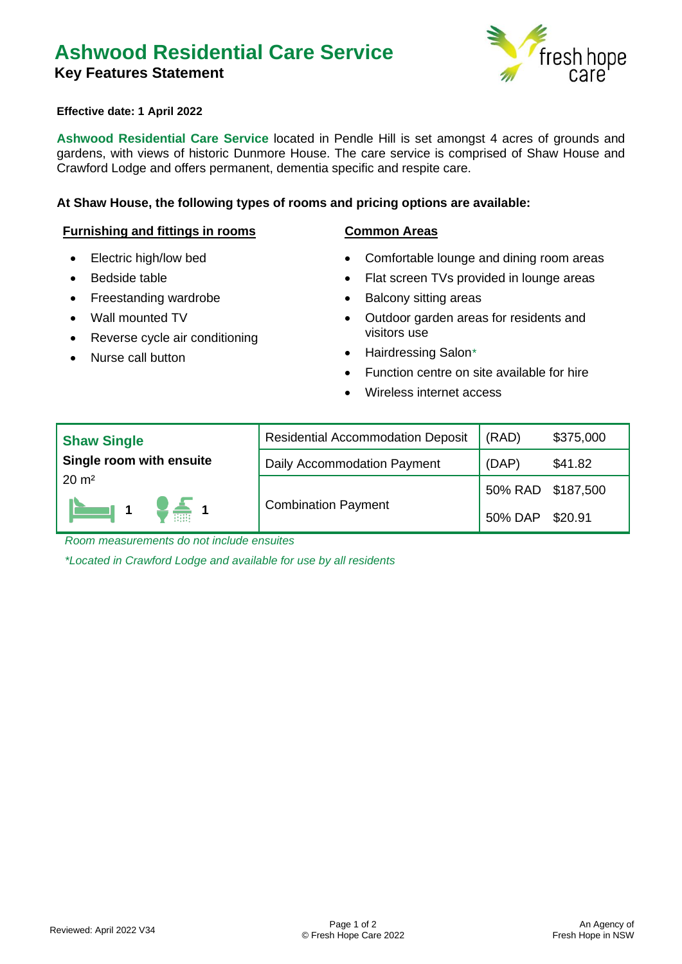# **Ashwood Residential Care Service Key Features Statement**



## **Effective date: 1 April 2022**

**Ashwood Residential Care Service** located in Pendle Hill is set amongst 4 acres of grounds and gardens, with views of historic Dunmore House. The care service is comprised of Shaw House and Crawford Lodge and offers permanent, dementia specific and respite care.

### **At Shaw House, the following types of rooms and pricing options are available:**

### **Furnishing and fittings in rooms Common Areas**

- Electric high/low bed
- Bedside table
- Freestanding wardrobe
- Wall mounted TV
- Reverse cycle air conditioning
- Nurse call button

- Comfortable lounge and dining room areas
- Flat screen TVs provided in lounge areas
- Balcony sitting areas
- Outdoor garden areas for residents and visitors use
- Hairdressing Salon*\**
- Function centre on site available for hire
- Wireless internet access

| <b>Shaw Single</b><br>Single room with ensuite<br>$20 \text{ m}^2$<br>$\begin{array}{ c c c c c }\n\hline\n\textbf{1} & \textbf{1} & \textbf{1} & \textbf{1} \\ \hline\n\textbf{2} & \textbf{1} & \textbf{1} & \textbf{1} & \textbf{1} \\ \hline\n\textbf{3} & \textbf{1} & \textbf{1} & \textbf{1} & \textbf{1} & \textbf{1} \\ \hline\n\textbf{4} & \textbf{1} & \textbf{1} & \textbf{1} & \textbf{1} & \textbf{1} & \textbf{1} \\ \hline\n\textbf{5} & \textbf{1} & \textbf{1} & \textbf{1} &$ | <b>Residential Accommodation Deposit</b> | (RAD)             | \$375,000 |
|---------------------------------------------------------------------------------------------------------------------------------------------------------------------------------------------------------------------------------------------------------------------------------------------------------------------------------------------------------------------------------------------------------------------------------------------------------------------------------------------------|------------------------------------------|-------------------|-----------|
|                                                                                                                                                                                                                                                                                                                                                                                                                                                                                                   | Daily Accommodation Payment              | (DAP)             | \$41.82   |
|                                                                                                                                                                                                                                                                                                                                                                                                                                                                                                   | <b>Combination Payment</b>               | 50% RAD \$187,500 |           |
|                                                                                                                                                                                                                                                                                                                                                                                                                                                                                                   |                                          | 50% DAP \$20.91   |           |

*Room measurements do not include ensuites*

*\*Located in Crawford Lodge and available for use by all residents*